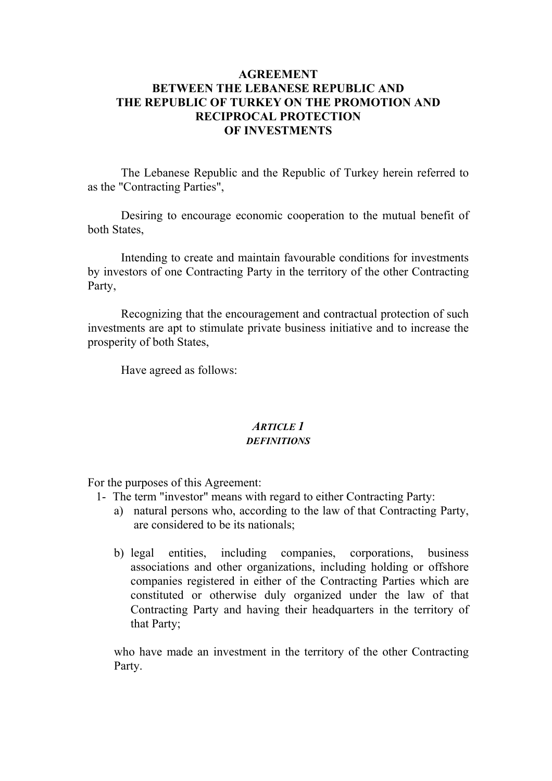## **AGREEMENT BETWEEN THE LEBANESE REPUBLIC AND THE REPUBLIC OF TURKEY ON THE PROMOTION AND RECIPROCAL PROTECTION OF INVESTMENTS**

 The Lebanese Republic and the Republic of Turkey herein referred to as the "Contracting Parties",

 Desiring to encourage economic cooperation to the mutual benefit of both States,

 Intending to create and maintain favourable conditions for investments by investors of one Contracting Party in the territory of the other Contracting Party,

 Recognizing that the encouragement and contractual protection of such investments are apt to stimulate private business initiative and to increase the prosperity of both States,

Have agreed as follows:

### *ARTICLE 1 DEFINITIONS*

For the purposes of this Agreement:

- 1- The term "investor" means with regard to either Contracting Party:
	- a) natural persons who, according to the law of that Contracting Party, are considered to be its nationals;
	- b) legal entities, including companies, corporations, business associations and other organizations, including holding or offshore companies registered in either of the Contracting Parties which are constituted or otherwise duly organized under the law of that Contracting Party and having their headquarters in the territory of that Party;

who have made an investment in the territory of the other Contracting Party.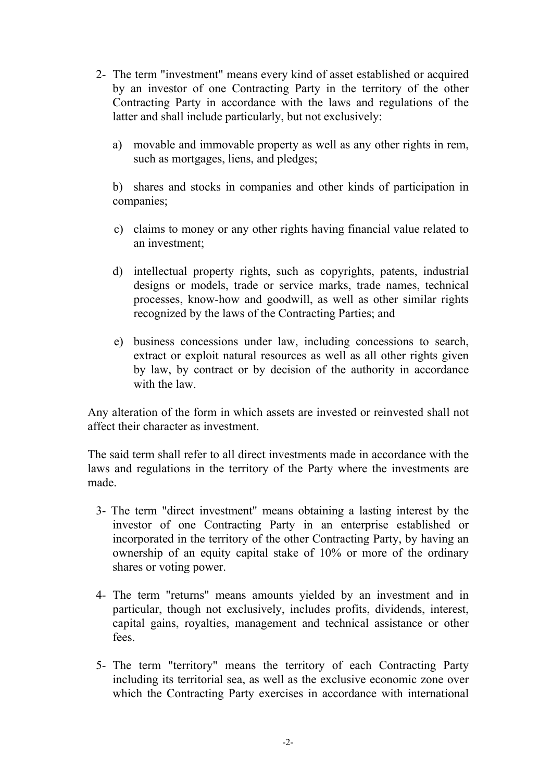- 2- The term "investment" means every kind of asset established or acquired by an investor of one Contracting Party in the territory of the other Contracting Party in accordance with the laws and regulations of the latter and shall include particularly, but not exclusively:
	- a) movable and immovable property as well as any other rights in rem, such as mortgages, liens, and pledges;

 b) shares and stocks in companies and other kinds of participation in companies;

- c) claims to money or any other rights having financial value related to an investment;
- d) intellectual property rights, such as copyrights, patents, industrial designs or models, trade or service marks, trade names, technical processes, know-how and goodwill, as well as other similar rights recognized by the laws of the Contracting Parties; and
- e) business concessions under law, including concessions to search, extract or exploit natural resources as well as all other rights given by law, by contract or by decision of the authority in accordance with the law.

Any alteration of the form in which assets are invested or reinvested shall not affect their character as investment.

The said term shall refer to all direct investments made in accordance with the laws and regulations in the territory of the Party where the investments are made.

- 3- The term "direct investment" means obtaining a lasting interest by the investor of one Contracting Party in an enterprise established or incorporated in the territory of the other Contracting Party, by having an ownership of an equity capital stake of 10% or more of the ordinary shares or voting power.
- 4- The term "returns" means amounts yielded by an investment and in particular, though not exclusively, includes profits, dividends, interest, capital gains, royalties, management and technical assistance or other fees.
- 5- The term "territory" means the territory of each Contracting Party including its territorial sea, as well as the exclusive economic zone over which the Contracting Party exercises in accordance with international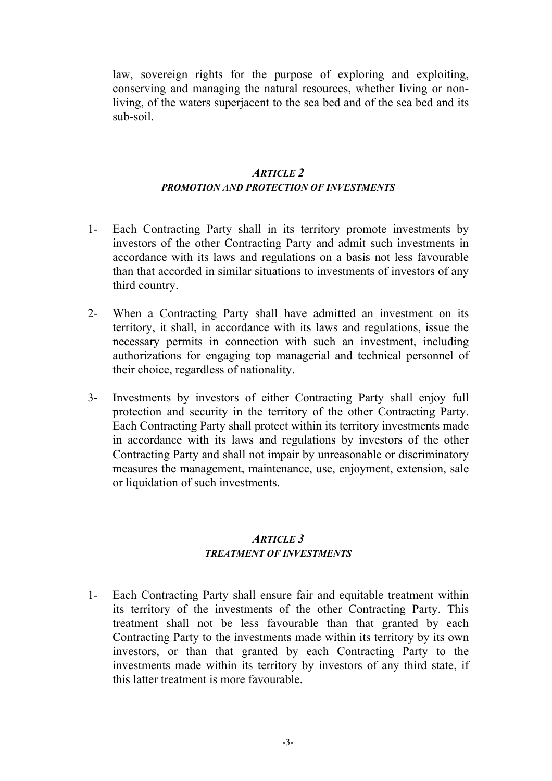law, sovereign rights for the purpose of exploring and exploiting, conserving and managing the natural resources, whether living or nonliving, of the waters superjacent to the sea bed and of the sea bed and its sub-soil.

#### *ARTICLE 2 PROMOTION AND PROTECTION OF INVESTMENTS*

- 1- Each Contracting Party shall in its territory promote investments by investors of the other Contracting Party and admit such investments in accordance with its laws and regulations on a basis not less favourable than that accorded in similar situations to investments of investors of any third country.
- 2- When a Contracting Party shall have admitted an investment on its territory, it shall, in accordance with its laws and regulations, issue the necessary permits in connection with such an investment, including authorizations for engaging top managerial and technical personnel of their choice, regardless of nationality.
- 3- Investments by investors of either Contracting Party shall enjoy full protection and security in the territory of the other Contracting Party. Each Contracting Party shall protect within its territory investments made in accordance with its laws and regulations by investors of the other Contracting Party and shall not impair by unreasonable or discriminatory measures the management, maintenance, use, enjoyment, extension, sale or liquidation of such investments.

### *ARTICLE 3 TREATMENT OF INVESTMENTS*

1- Each Contracting Party shall ensure fair and equitable treatment within its territory of the investments of the other Contracting Party. This treatment shall not be less favourable than that granted by each Contracting Party to the investments made within its territory by its own investors, or than that granted by each Contracting Party to the investments made within its territory by investors of any third state, if this latter treatment is more favourable.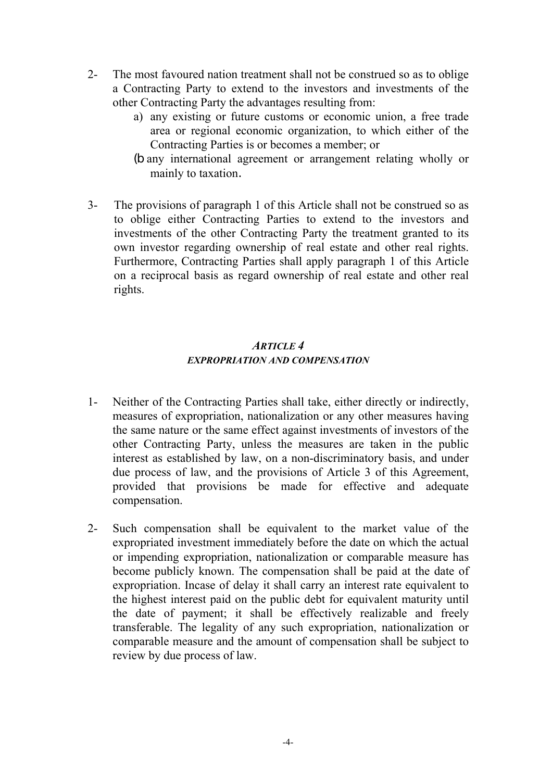- 2- The most favoured nation treatment shall not be construed so as to oblige a Contracting Party to extend to the investors and investments of the other Contracting Party the advantages resulting from:
	- a) any existing or future customs or economic union, a free trade area or regional economic organization, to which either of the Contracting Parties is or becomes a member; or
	- (b any international agreement or arrangement relating wholly or mainly to taxation.
- 3- The provisions of paragraph 1 of this Article shall not be construed so as to oblige either Contracting Parties to extend to the investors and investments of the other Contracting Party the treatment granted to its own investor regarding ownership of real estate and other real rights. Furthermore, Contracting Parties shall apply paragraph 1 of this Article on a reciprocal basis as regard ownership of real estate and other real rights.

# *ARTICLE 4 EXPROPRIATION AND COMPENSATION*

- 1- Neither of the Contracting Parties shall take, either directly or indirectly, measures of expropriation, nationalization or any other measures having the same nature or the same effect against investments of investors of the other Contracting Party, unless the measures are taken in the public interest as established by law, on a non-discriminatory basis, and under due process of law, and the provisions of Article 3 of this Agreement, provided that provisions be made for effective and adequate compensation.
- 2- Such compensation shall be equivalent to the market value of the expropriated investment immediately before the date on which the actual or impending expropriation, nationalization or comparable measure has become publicly known. The compensation shall be paid at the date of expropriation. Incase of delay it shall carry an interest rate equivalent to the highest interest paid on the public debt for equivalent maturity until the date of payment; it shall be effectively realizable and freely transferable. The legality of any such expropriation, nationalization or comparable measure and the amount of compensation shall be subject to review by due process of law.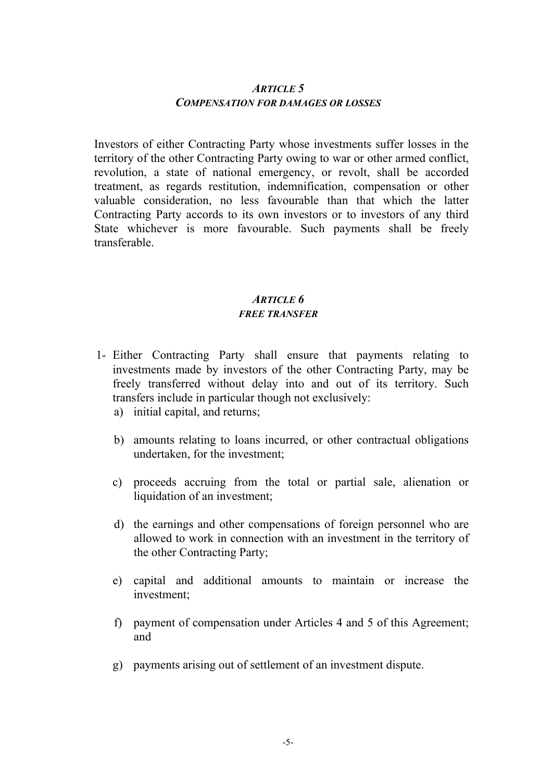### *ARTICLE 5 COMPENSATION FOR DAMAGES OR LOSSES*

 Investors of either Contracting Party whose investments suffer losses in the territory of the other Contracting Party owing to war or other armed conflict, revolution, a state of national emergency, or revolt, shall be accorded treatment, as regards restitution, indemnification, compensation or other valuable consideration, no less favourable than that which the latter Contracting Party accords to its own investors or to investors of any third State whichever is more favourable. Such payments shall be freely transferable.

### *ARTICLE 6 FREE TRANSFER*

- 1- Either Contracting Party shall ensure that payments relating to investments made by investors of the other Contracting Party, may be freely transferred without delay into and out of its territory. Such transfers include in particular though not exclusively:
	- a) initial capital, and returns;
	- b) amounts relating to loans incurred, or other contractual obligations undertaken, for the investment;
	- c) proceeds accruing from the total or partial sale, alienation or liquidation of an investment;
	- d) the earnings and other compensations of foreign personnel who are allowed to work in connection with an investment in the territory of the other Contracting Party;
	- e) capital and additional amounts to maintain or increase the investment;
	- f) payment of compensation under Articles 4 and 5 of this Agreement; and
	- g) payments arising out of settlement of an investment dispute.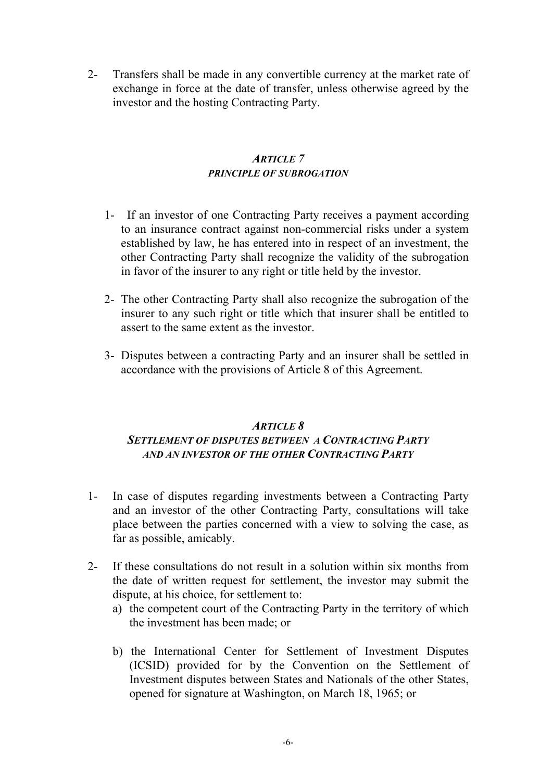2- Transfers shall be made in any convertible currency at the market rate of exchange in force at the date of transfer, unless otherwise agreed by the investor and the hosting Contracting Party.

## *ARTICLE 7 PRINCIPLE OF SUBROGATION*

- 1- If an investor of one Contracting Party receives a payment according to an insurance contract against non-commercial risks under a system established by law, he has entered into in respect of an investment, the other Contracting Party shall recognize the validity of the subrogation in favor of the insurer to any right or title held by the investor.
- 2- The other Contracting Party shall also recognize the subrogation of the insurer to any such right or title which that insurer shall be entitled to assert to the same extent as the investor.
- 3- Disputes between a contracting Party and an insurer shall be settled in accordance with the provisions of Article 8 of this Agreement.

## *ARTICLE 8 SETTLEMENT OF DISPUTES BETWEEN A CONTRACTING PARTY AND AN INVESTOR OF THE OTHER CONTRACTING PARTY*

- 1- In case of disputes regarding investments between a Contracting Party and an investor of the other Contracting Party, consultations will take place between the parties concerned with a view to solving the case, as far as possible, amicably.
- 2- If these consultations do not result in a solution within six months from the date of written request for settlement, the investor may submit the dispute, at his choice, for settlement to:
	- a) the competent court of the Contracting Party in the territory of which the investment has been made; or
	- b) the International Center for Settlement of Investment Disputes (ICSID) provided for by the Convention on the Settlement of Investment disputes between States and Nationals of the other States, opened for signature at Washington, on March 18, 1965; or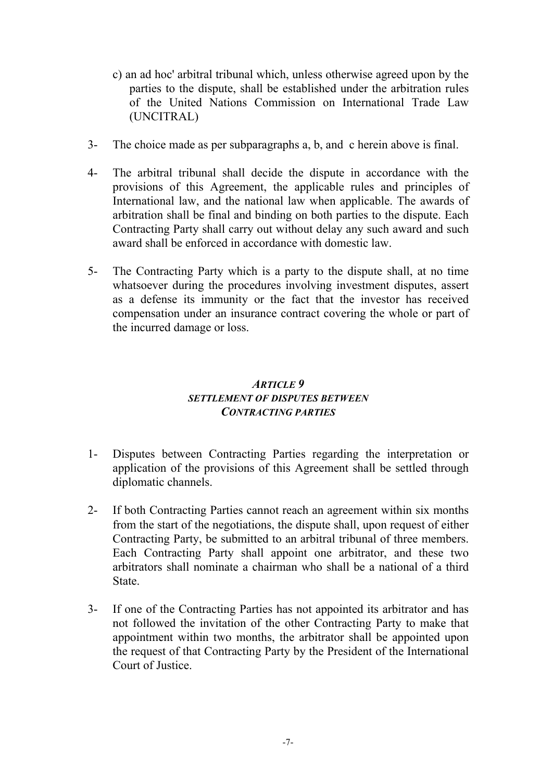- c) an ad hoc' arbitral tribunal which, unless otherwise agreed upon by the parties to the dispute, shall be established under the arbitration rules of the United Nations Commission on International Trade Law (UNCITRAL)
- 3- The choice made as per subparagraphs a, b, and c herein above is final.
- 4- The arbitral tribunal shall decide the dispute in accordance with the provisions of this Agreement, the applicable rules and principles of International law, and the national law when applicable. The awards of arbitration shall be final and binding on both parties to the dispute. Each Contracting Party shall carry out without delay any such award and such award shall be enforced in accordance with domestic law.
- 5- The Contracting Party which is a party to the dispute shall, at no time whatsoever during the procedures involving investment disputes, assert as a defense its immunity or the fact that the investor has received compensation under an insurance contract covering the whole or part of the incurred damage or loss.

## *ARTICLE 9 SETTLEMENT OF DISPUTES BETWEEN CONTRACTING PARTIES*

- 1- Disputes between Contracting Parties regarding the interpretation or application of the provisions of this Agreement shall be settled through diplomatic channels.
- 2- If both Contracting Parties cannot reach an agreement within six months from the start of the negotiations, the dispute shall, upon request of either Contracting Party, be submitted to an arbitral tribunal of three members. Each Contracting Party shall appoint one arbitrator, and these two arbitrators shall nominate a chairman who shall be a national of a third State.
- 3- If one of the Contracting Parties has not appointed its arbitrator and has not followed the invitation of the other Contracting Party to make that appointment within two months, the arbitrator shall be appointed upon the request of that Contracting Party by the President of the International Court of Justice.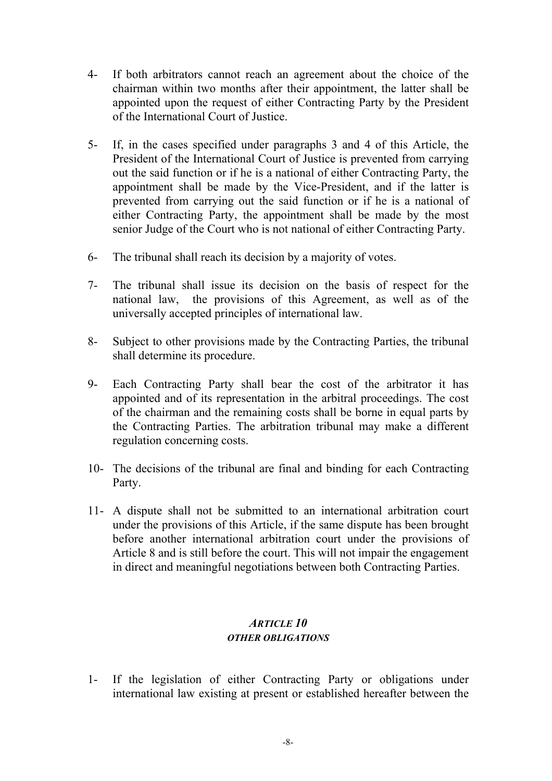- 4- If both arbitrators cannot reach an agreement about the choice of the chairman within two months after their appointment, the latter shall be appointed upon the request of either Contracting Party by the President of the International Court of Justice.
- 5- If, in the cases specified under paragraphs 3 and 4 of this Article, the President of the International Court of Justice is prevented from carrying out the said function or if he is a national of either Contracting Party, the appointment shall be made by the Vice-President, and if the latter is prevented from carrying out the said function or if he is a national of either Contracting Party, the appointment shall be made by the most senior Judge of the Court who is not national of either Contracting Party.
- 6- The tribunal shall reach its decision by a majority of votes.
- 7- The tribunal shall issue its decision on the basis of respect for the national law, the provisions of this Agreement, as well as of the universally accepted principles of international law.
- 8- Subject to other provisions made by the Contracting Parties, the tribunal shall determine its procedure.
- 9- Each Contracting Party shall bear the cost of the arbitrator it has appointed and of its representation in the arbitral proceedings. The cost of the chairman and the remaining costs shall be borne in equal parts by the Contracting Parties. The arbitration tribunal may make a different regulation concerning costs.
- 10- The decisions of the tribunal are final and binding for each Contracting Party.
- 11- A dispute shall not be submitted to an international arbitration court under the provisions of this Article, if the same dispute has been brought before another international arbitration court under the provisions of Article 8 and is still before the court. This will not impair the engagement in direct and meaningful negotiations between both Contracting Parties.

# *ARTICLE 10 OTHER OBLIGATIONS*

1- If the legislation of either Contracting Party or obligations under international law existing at present or established hereafter between the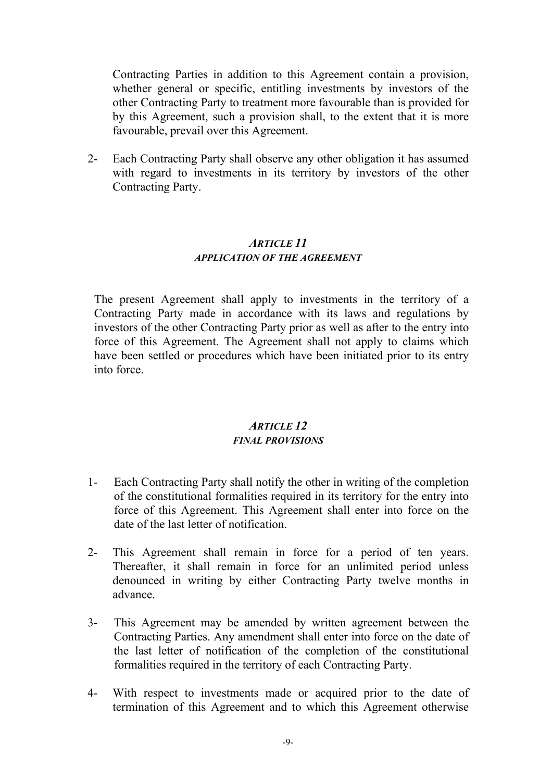Contracting Parties in addition to this Agreement contain a provision, whether general or specific, entitling investments by investors of the other Contracting Party to treatment more favourable than is provided for by this Agreement, such a provision shall, to the extent that it is more favourable, prevail over this Agreement.

2- Each Contracting Party shall observe any other obligation it has assumed with regard to investments in its territory by investors of the other Contracting Party.

### *ARTICLE 11 APPLICATION OF THE AGREEMENT*

The present Agreement shall apply to investments in the territory of a Contracting Party made in accordance with its laws and regulations by investors of the other Contracting Party prior as well as after to the entry into force of this Agreement. The Agreement shall not apply to claims which have been settled or procedures which have been initiated prior to its entry into force.

## *ARTICLE 12 FINAL PROVISIONS*

- 1- Each Contracting Party shall notify the other in writing of the completion of the constitutional formalities required in its territory for the entry into force of this Agreement. This Agreement shall enter into force on the date of the last letter of notification.
- 2- This Agreement shall remain in force for a period of ten years. Thereafter, it shall remain in force for an unlimited period unless denounced in writing by either Contracting Party twelve months in advance.
- 3- This Agreement may be amended by written agreement between the Contracting Parties. Any amendment shall enter into force on the date of the last letter of notification of the completion of the constitutional formalities required in the territory of each Contracting Party.
- 4- With respect to investments made or acquired prior to the date of termination of this Agreement and to which this Agreement otherwise